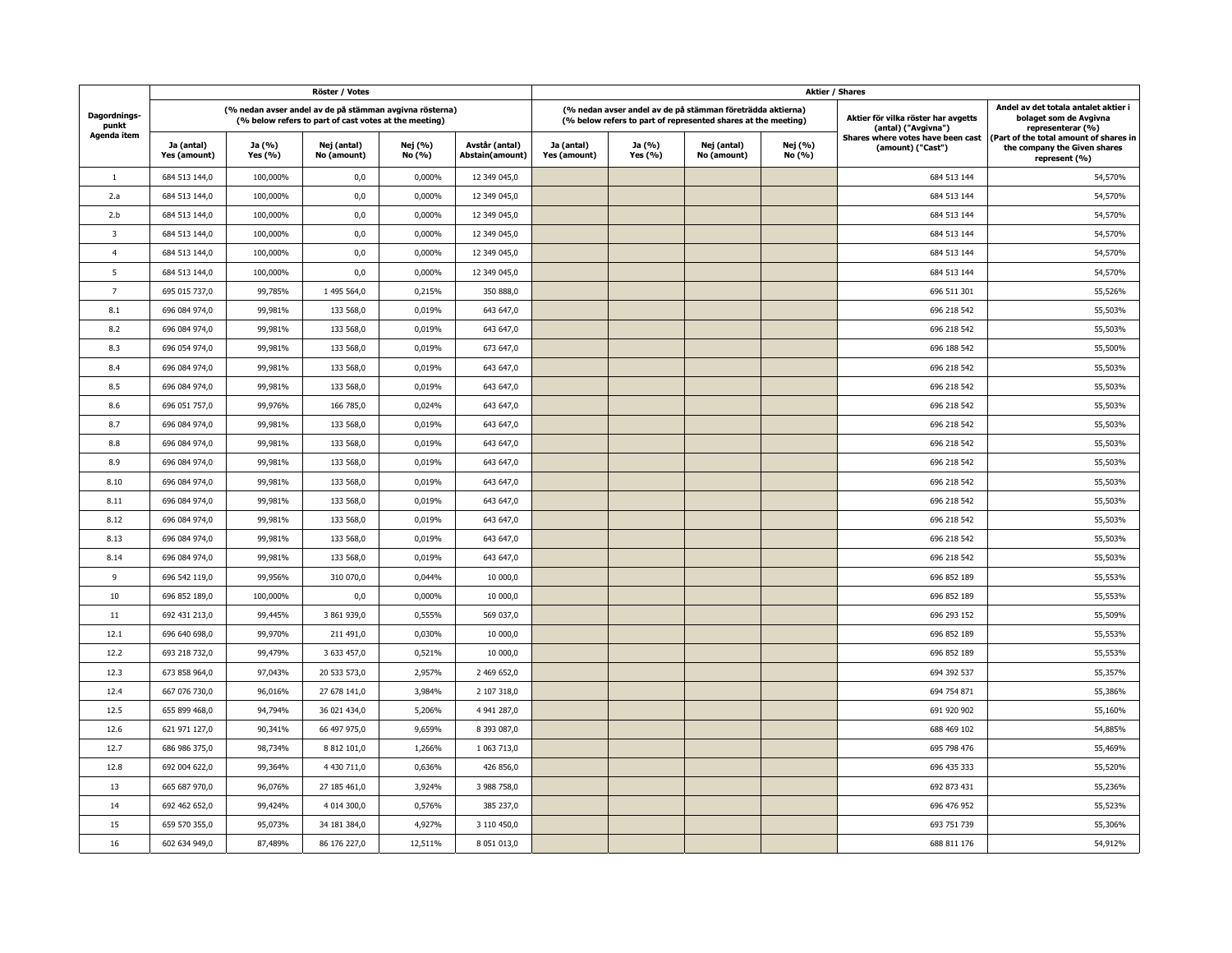|                                             |                                                                                                                  |                   | Röster / Votes             |                   |                                   | <b>Aktier / Shares</b>     |                   |                                                                                                                             |                   |                                                            |                                                                                         |  |
|---------------------------------------------|------------------------------------------------------------------------------------------------------------------|-------------------|----------------------------|-------------------|-----------------------------------|----------------------------|-------------------|-----------------------------------------------------------------------------------------------------------------------------|-------------------|------------------------------------------------------------|-----------------------------------------------------------------------------------------|--|
| Dagordnings-<br>punkt<br><b>Agenda item</b> | (% nedan avser andel av de på stämman avgivna rösterna)<br>(% below refers to part of cast votes at the meeting) |                   |                            |                   |                                   |                            |                   | (% nedan avser andel av de på stämman företrädda aktierna)<br>(% below refers to part of represented shares at the meeting) |                   | Aktier för vilka röster har avgetts<br>(antal) ("Avgivna") | Andel av det totala antalet aktier i<br>bolaget som de Avgivna<br>representerar (%)     |  |
|                                             | Ja (antal)<br>Yes (amount)                                                                                       | Ja (%)<br>Yes (%) | Nej (antal)<br>No (amount) | Nej (%)<br>No (%) | Avstår (antal)<br>Abstain(amount) | Ja (antal)<br>Yes (amount) | Ja (%)<br>Yes (%) | Nej (antal)<br>No (amount)                                                                                                  | Nej (%)<br>No (%) | Shares where votes have been cast<br>(amount) ("Cast")     | (Part of the total amount of shares in<br>the company the Given shares<br>represent (%) |  |
| $\mathbf{1}$                                | 684 513 144,0                                                                                                    | 100,000%          | 0,0                        | 0,000%            | 12 349 045,0                      |                            |                   |                                                                                                                             |                   | 684 513 144                                                | 54,570%                                                                                 |  |
| 2.a                                         | 684 513 144,0                                                                                                    | 100,000%          | 0,0                        | 0,000%            | 12 349 045,0                      |                            |                   |                                                                                                                             |                   | 684 513 144                                                | 54,570%                                                                                 |  |
| 2.b                                         | 684 513 144,0                                                                                                    | 100,000%          | 0,0                        | 0,000%            | 12 349 045,0                      |                            |                   |                                                                                                                             |                   | 684 513 144                                                | 54,570%                                                                                 |  |
| 3                                           | 684 513 144,0                                                                                                    | 100,000%          | 0,0                        | 0,000%            | 12 349 045,0                      |                            |                   |                                                                                                                             |                   | 684 513 144                                                | 54,570%                                                                                 |  |
| $\overline{4}$                              | 684 513 144,0                                                                                                    | 100,000%          | 0,0                        | 0,000%            | 12 349 045,0                      |                            |                   |                                                                                                                             |                   | 684 513 144                                                | 54,570%                                                                                 |  |
| 5                                           | 684 513 144,0                                                                                                    | 100,000%          | 0,0                        | 0,000%            | 12 349 045,0                      |                            |                   |                                                                                                                             |                   | 684 513 144                                                | 54,570%                                                                                 |  |
| $\overline{7}$                              | 695 015 737,0                                                                                                    | 99,785%           | 1 495 564,0                | 0,215%            | 350 888,0                         |                            |                   |                                                                                                                             |                   | 696 511 301                                                | 55,526%                                                                                 |  |
| 8.1                                         | 696 084 974,0                                                                                                    | 99,981%           | 133 568,0                  | 0,019%            | 643 647,0                         |                            |                   |                                                                                                                             |                   | 696 218 542                                                | 55,503%                                                                                 |  |
| 8.2                                         | 696 084 974,0                                                                                                    | 99,981%           | 133 568,0                  | 0,019%            | 643 647.0                         |                            |                   |                                                                                                                             |                   | 696 218 542                                                | 55,503%                                                                                 |  |
| 8.3                                         | 696 054 974,0                                                                                                    | 99,981%           | 133 568,0                  | 0,019%            | 673 647,0                         |                            |                   |                                                                                                                             |                   | 696 188 542                                                | 55,500%                                                                                 |  |
| 8.4                                         | 696 084 974,0                                                                                                    | 99,981%           | 133 568,0                  | 0,019%            | 643 647,0                         |                            |                   |                                                                                                                             |                   | 696 218 542                                                | 55,503%                                                                                 |  |
| 8.5                                         | 696 084 974,0                                                                                                    | 99,981%           | 133 568,0                  | 0,019%            | 643 647,0                         |                            |                   |                                                                                                                             |                   | 696 218 542                                                | 55,503%                                                                                 |  |
| 8.6                                         | 696 051 757,0                                                                                                    | 99,976%           | 166 785,0                  | 0,024%            | 643 647,0                         |                            |                   |                                                                                                                             |                   | 696 218 542                                                | 55,503%                                                                                 |  |
| 8.7                                         | 696 084 974,0                                                                                                    | 99,981%           | 133 568,0                  | 0,019%            | 643 647,0                         |                            |                   |                                                                                                                             |                   | 696 218 542                                                | 55,503%                                                                                 |  |
| 8.8                                         | 696 084 974,0                                                                                                    | 99,981%           | 133 568,0                  | 0,019%            | 643 647,0                         |                            |                   |                                                                                                                             |                   | 696 218 542                                                | 55,503%                                                                                 |  |
| 8.9                                         | 696 084 974,0                                                                                                    | 99,981%           | 133 568,0                  | 0,019%            | 643 647,0                         |                            |                   |                                                                                                                             |                   | 696 218 542                                                | 55,503%                                                                                 |  |
| 8.10                                        | 696 084 974,0                                                                                                    | 99,981%           | 133 568,0                  | 0,019%            | 643 647,0                         |                            |                   |                                                                                                                             |                   | 696 218 542                                                | 55,503%                                                                                 |  |
| 8.11                                        | 696 084 974,0                                                                                                    | 99,981%           | 133 568,0                  | 0,019%            | 643 647,0                         |                            |                   |                                                                                                                             |                   | 696 218 542                                                | 55,503%                                                                                 |  |
| 8.12                                        | 696 084 974,0                                                                                                    | 99,981%           | 133 568,0                  | 0,019%            | 643 647,0                         |                            |                   |                                                                                                                             |                   | 696 218 542                                                | 55,503%                                                                                 |  |
| 8.13                                        | 696 084 974,0                                                                                                    | 99,981%           | 133 568,0                  | 0,019%            | 643 647,0                         |                            |                   |                                                                                                                             |                   | 696 218 542                                                | 55,503%                                                                                 |  |
| 8.14                                        | 696 084 974,0                                                                                                    | 99,981%           | 133 568,0                  | 0,019%            | 643 647,0                         |                            |                   |                                                                                                                             |                   | 696 218 542                                                | 55,503%                                                                                 |  |
| 9                                           | 696 542 119,0                                                                                                    | 99,956%           | 310 070,0                  | 0,044%            | 10 000,0                          |                            |                   |                                                                                                                             |                   | 696 852 189                                                | 55,553%                                                                                 |  |
| 10                                          | 696 852 189,0                                                                                                    | 100,000%          | 0,0                        | 0,000%            | 10 000,0                          |                            |                   |                                                                                                                             |                   | 696 852 189                                                | 55,553%                                                                                 |  |
| 11                                          | 692 431 213,0                                                                                                    | 99,445%           | 3 861 939,0                | 0,555%            | 569 037,0                         |                            |                   |                                                                                                                             |                   | 696 293 152                                                | 55,509%                                                                                 |  |
| 12.1                                        | 696 640 698,0                                                                                                    | 99,970%           | 211 491,0                  | 0,030%            | 10 000,0                          |                            |                   |                                                                                                                             |                   | 696 852 189                                                | 55,553%                                                                                 |  |
| 12.2                                        | 693 218 732,0                                                                                                    | 99,479%           | 3 633 457,0                | 0,521%            | 10 000,0                          |                            |                   |                                                                                                                             |                   | 696 852 189                                                | 55,553%                                                                                 |  |
| 12.3                                        | 673 858 964,0                                                                                                    | 97,043%           | 20 533 573,0               | 2,957%            | 2 469 652,0                       |                            |                   |                                                                                                                             |                   | 694 392 537                                                | 55,357%                                                                                 |  |
| 12.4                                        | 667 076 730,0                                                                                                    | 96,016%           | 27 678 141,0               | 3,984%            | 2 107 318,0                       |                            |                   |                                                                                                                             |                   | 694 754 871                                                | 55,386%                                                                                 |  |
| 12.5                                        | 655 899 468,0                                                                                                    | 94,794%           | 36 021 434,0               | 5,206%            | 4 941 287,0                       |                            |                   |                                                                                                                             |                   | 691 920 902                                                | 55,160%                                                                                 |  |
| 12.6                                        | 621 971 127,0                                                                                                    | 90,341%           | 66 497 975,0               | 9,659%            | 8 393 087,0                       |                            |                   |                                                                                                                             |                   | 688 469 102                                                | 54,885%                                                                                 |  |
| 12.7                                        | 686 986 375,0                                                                                                    | 98,734%           | 8 812 101,0                | 1,266%            | 1 063 713,0                       |                            |                   |                                                                                                                             |                   | 695 798 476                                                | 55,469%                                                                                 |  |
| 12.8                                        | 692 004 622,0                                                                                                    | 99,364%           | 4 430 711,0                | 0,636%            | 426 856,0                         |                            |                   |                                                                                                                             |                   | 696 435 333                                                | 55,520%                                                                                 |  |
| 13                                          | 665 687 970,0                                                                                                    | 96,076%           | 27 185 461,0               | 3,924%            | 3 988 758,0                       |                            |                   |                                                                                                                             |                   | 692 873 431                                                | 55,236%                                                                                 |  |
| 14                                          | 692 462 652,0                                                                                                    | 99,424%           | 4 014 300,0                | 0,576%            | 385 237,0                         |                            |                   |                                                                                                                             |                   | 696 476 952                                                | 55,523%                                                                                 |  |
| 15                                          | 659 570 355,0                                                                                                    | 95,073%           | 34 181 384,0               | 4,927%            | 3 110 450,0                       |                            |                   |                                                                                                                             |                   | 693 751 739                                                | 55,306%                                                                                 |  |
| 16                                          | 602 634 949,0                                                                                                    | 87,489%           | 86 176 227,0               | 12,511%           | 8 051 013,0                       |                            |                   |                                                                                                                             |                   | 688 811 176                                                | 54,912%                                                                                 |  |